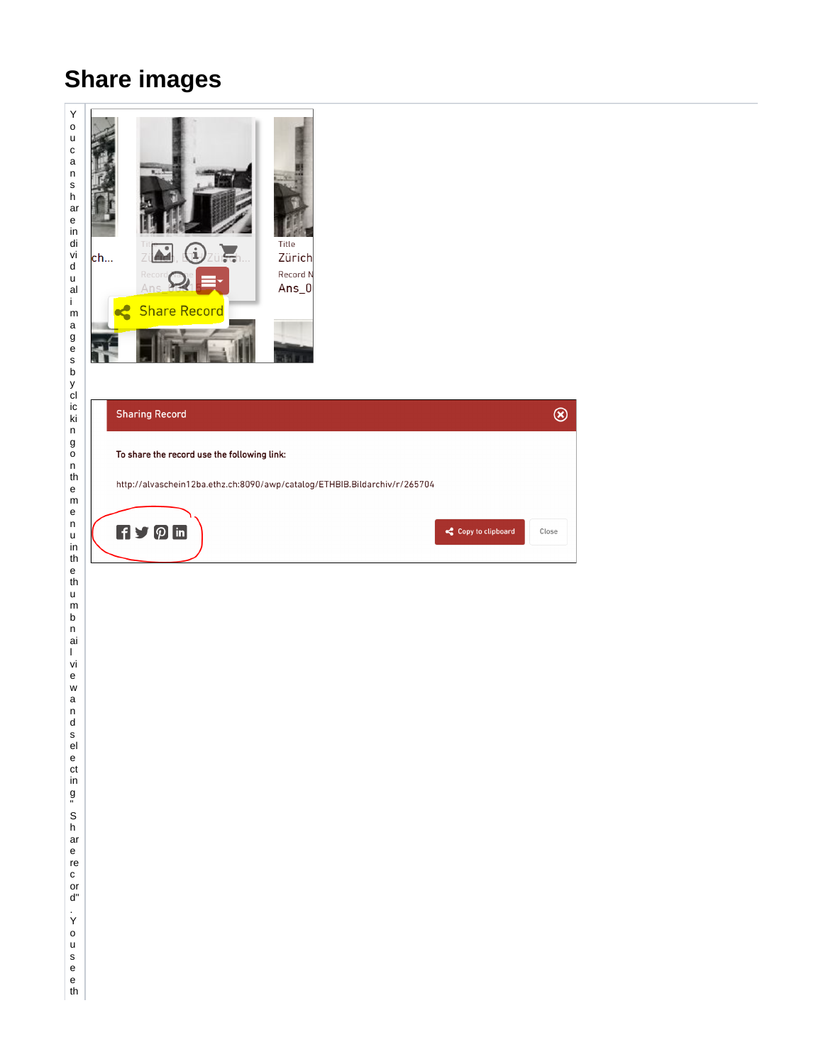## **Share images**

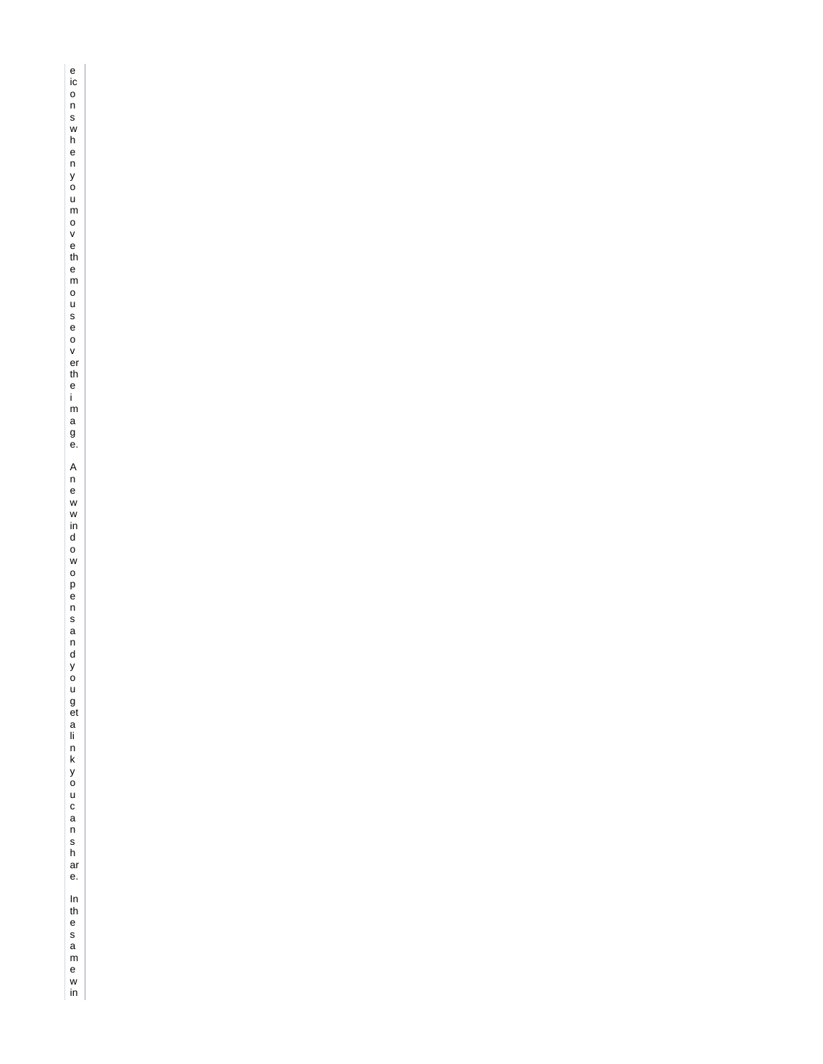e ic o n s w h e n y o u m o v e th e m o u s e o v er th e i - m a g e. A n e w w ind o w o p e n s a n d y o u g et a ii n k y o u c a n s h ar e. In the same win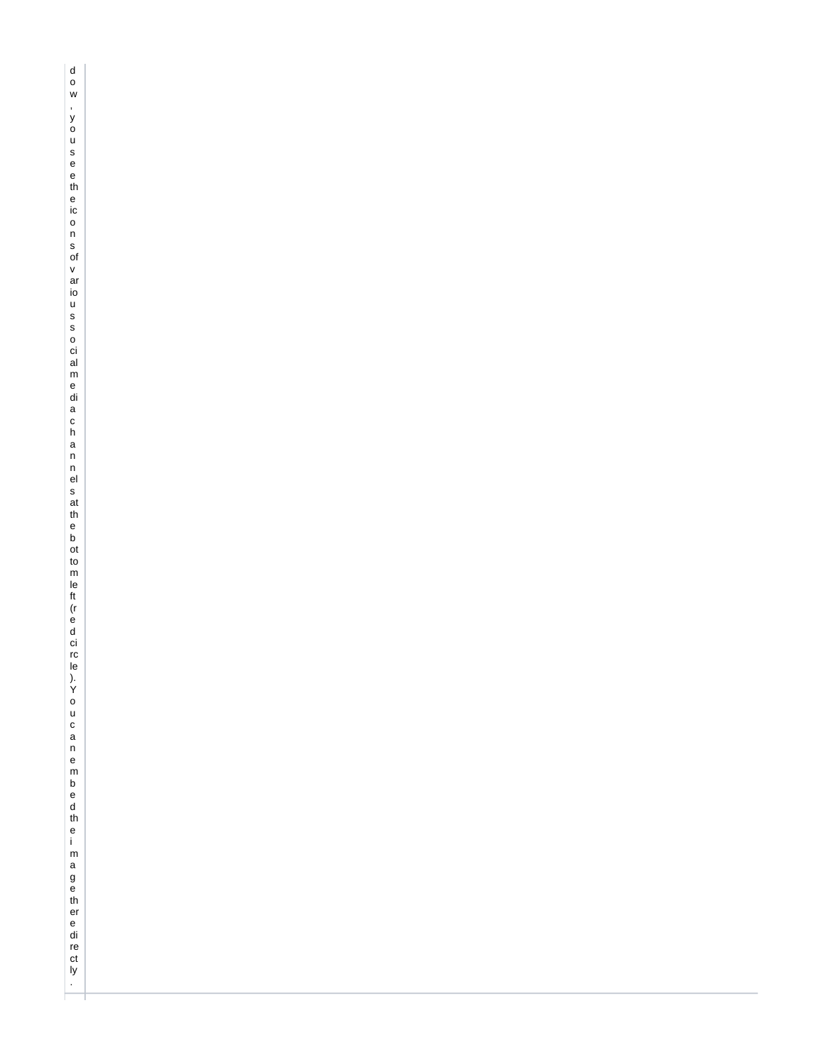dow,yousee the にons ぴva io usso ci alme diachann ēls at theb d to m le et l c a u canem b ed the i mage th er e di re et ly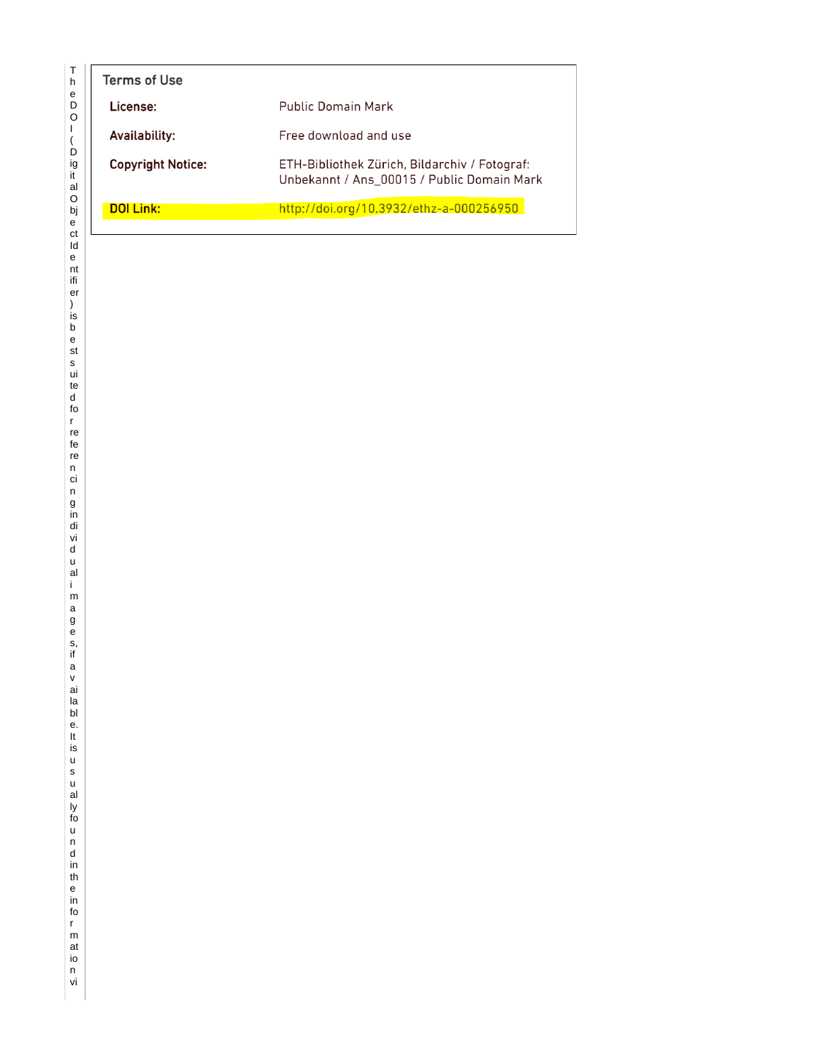| Terms of Use             |                                                                                             |  |
|--------------------------|---------------------------------------------------------------------------------------------|--|
| License:                 | <b>Public Domain Mark</b>                                                                   |  |
| Availability:            | Free download and use                                                                       |  |
| <b>Copyright Notice:</b> | ETH-Bibliothek Zürich, Bildarchiv / Fotograf:<br>Unbekannt / Ans 00015 / Public Domain Mark |  |
| <b>DOI Link:</b>         | http://doi.org/10.3932/ethz-a-000256950                                                     |  |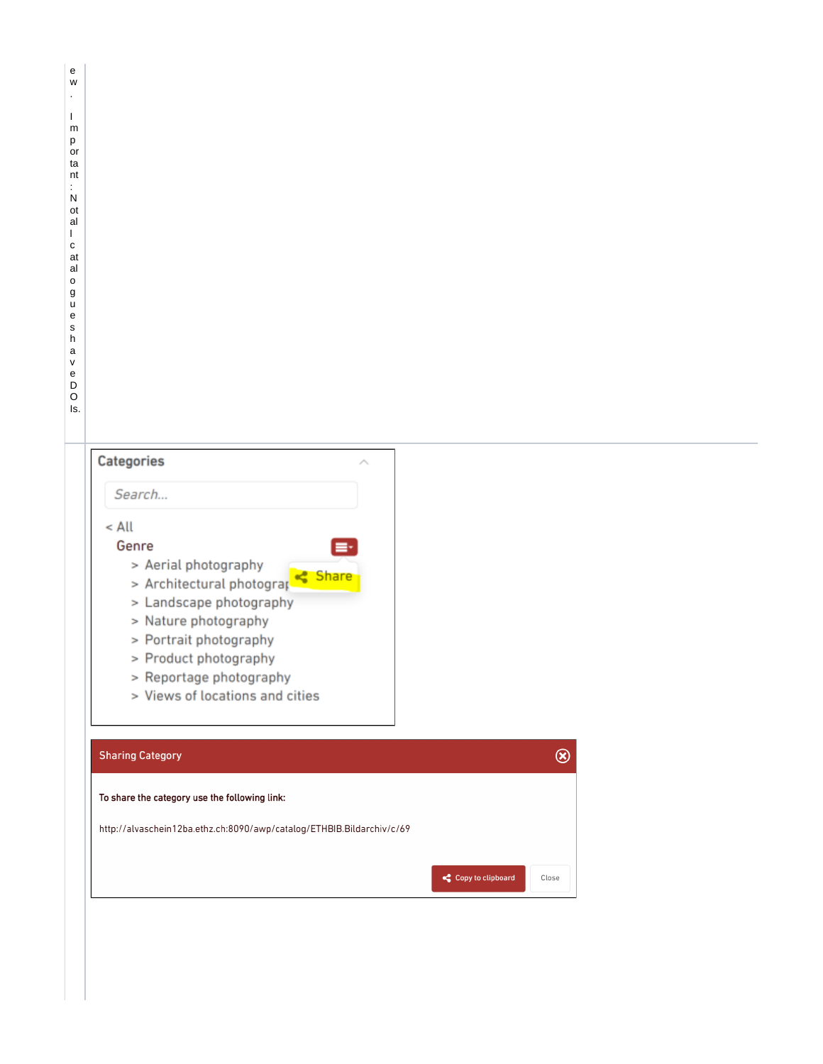## Categories

|  |  | _______ |  |  |  |
|--|--|---------|--|--|--|

## $<$  All

## Genre

- > Aerial photography
- > Architectural photograp < Share
- > Landscape photography
- > Nature photography
- > Portrait photography
- > Product photography
- > Reportage photography
- > Views of locations and cities

| <b>Sharing Category</b>                                               |                   |       |
|-----------------------------------------------------------------------|-------------------|-------|
| To share the category use the following link:                         |                   |       |
| http://alvaschein12ba.ethz.ch:8090/awp/catalog/ETHBIB.Bildarchiv/c/69 |                   |       |
|                                                                       | Copy to clipboard | Close |

 $\hat{\mathcal{L}}$ 

Ē۰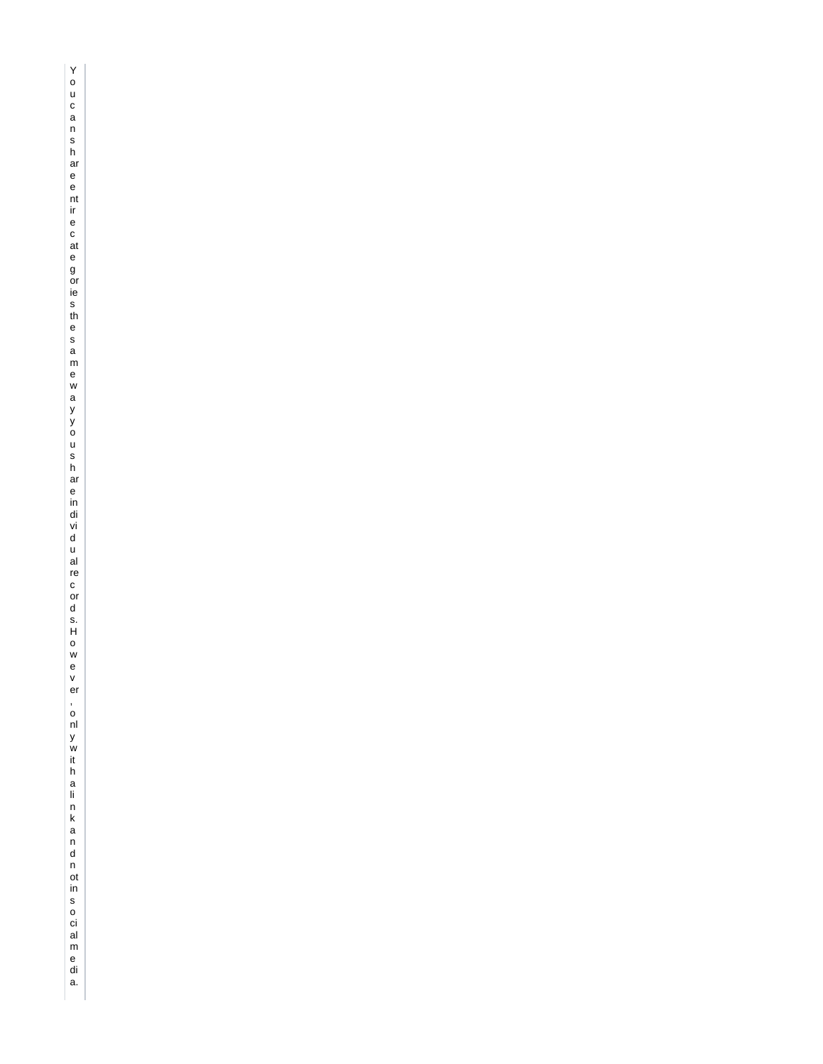You can share entire cate g orie s the same way you share in di vidual record s.Howe y er,only w it halink and n ot in social media.